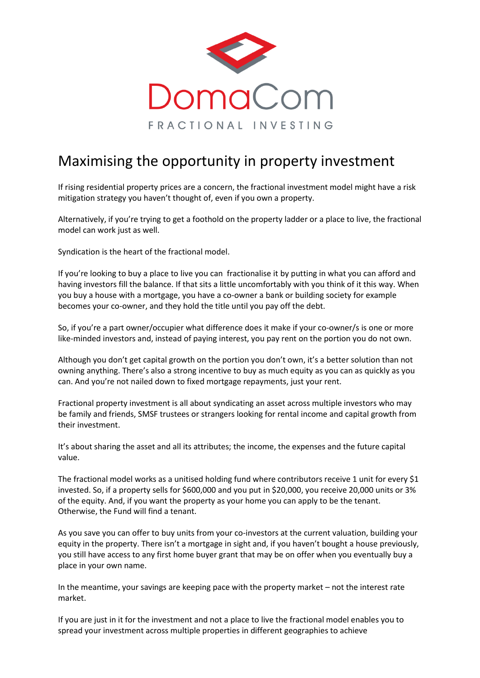

## Maximising the opportunity in property investment

If rising residential property prices are a concern, the fractional investment model might have a risk mitigation strategy you haven't thought of, even if you own a property.

Alternatively, if you're trying to get a foothold on the property ladder or a place to live, the fractional model can work just as well.

Syndication is the heart of the fractional model.

If you're looking to buy a place to live you can fractionalise it by putting in what you can afford and having investors fill the balance. If that sits a little uncomfortably with you think of it this way. When you buy a house with a mortgage, you have a co-owner a bank or building society for example becomes your co-owner, and they hold the title until you pay off the debt.

So, if you're a part owner/occupier what difference does it make if your co-owner/s is one or more like-minded investors and, instead of paying interest, you pay rent on the portion you do not own.

Although you don't get capital growth on the portion you don't own, it's a better solution than not owning anything. There's also a strong incentive to buy as much equity as you can as quickly as you can. And you're not nailed down to fixed mortgage repayments, just your rent.

Fractional property investment is all about syndicating an asset across multiple investors who may be family and friends, SMSF trustees or strangers looking for rental income and capital growth from their investment.

It's about sharing the asset and all its attributes; the income, the expenses and the future capital value.

The fractional model works as a unitised holding fund where contributors receive 1 unit for every \$1 invested. So, if a property sells for \$600,000 and you put in \$20,000, you receive 20,000 units or 3% of the equity. And, if you want the property as your home you can apply to be the tenant. Otherwise, the Fund will find a tenant.

As you save you can offer to buy units from your co-investors at the current valuation, building your equity in the property. There isn't a mortgage in sight and, if you haven't bought a house previously, you still have access to any first home buyer grant that may be on offer when you eventually buy a place in your own name.

In the meantime, your savings are keeping pace with the property market – not the interest rate market.

If you are just in it for the investment and not a place to live the fractional model enables you to spread your investment across multiple properties in different geographies to achieve